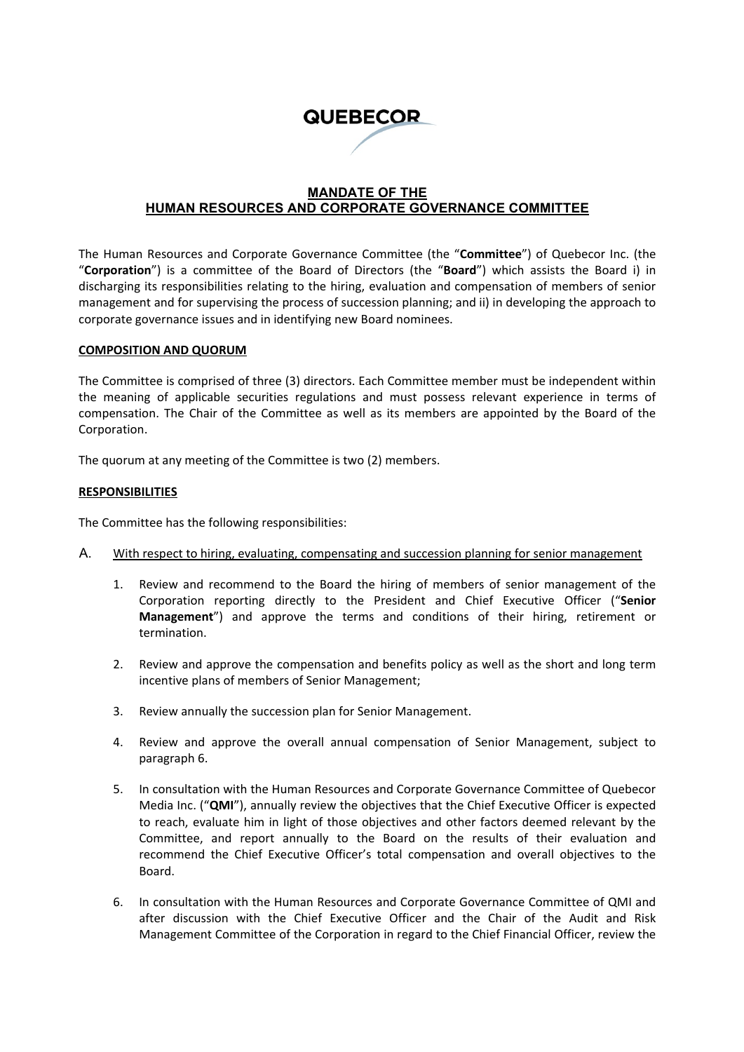# **QUEBECOR**

# **MANDATE OF THE HUMAN RESOURCES AND CORPORATE GOVERNANCE COMMITTEE**

The Human Resources and Corporate Governance Committee (the "**Committee**") of Quebecor Inc. (the "**Corporation**") is a committee of the Board of Directors (the "**Board**") which assists the Board i) in discharging its responsibilities relating to the hiring, evaluation and compensation of members of senior management and for supervising the process of succession planning; and ii) in developing the approach to corporate governance issues and in identifying new Board nominees.

#### **COMPOSITION AND QUORUM**

The Committee is comprised of three (3) directors. Each Committee member must be independent within the meaning of applicable securities regulations and must possess relevant experience in terms of compensation. The Chair of the Committee as well as its members are appointed by the Board of the Corporation.

The quorum at any meeting of the Committee is two (2) members.

### **RESPONSIBILITIES**

The Committee has the following responsibilities:

- A. With respect to hiring, evaluating, compensating and succession planning for senior management
	- 1. Review and recommend to the Board the hiring of members of senior management of the Corporation reporting directly to the President and Chief Executive Officer ("**Senior Management**") and approve the terms and conditions of their hiring, retirement or termination.
	- 2. Review and approve the compensation and benefits policy as well as the short and long term incentive plans of members of Senior Management;
	- 3. Review annually the succession plan for Senior Management.
	- 4. Review and approve the overall annual compensation of Senior Management, subject to paragraph 6.
	- 5. In consultation with the Human Resources and Corporate Governance Committee of Quebecor Media Inc. ("**QMI**"), annually review the objectives that the Chief Executive Officer is expected to reach, evaluate him in light of those objectives and other factors deemed relevant by the Committee, and report annually to the Board on the results of their evaluation and recommend the Chief Executive Officer's total compensation and overall objectives to the Board.
	- 6. In consultation with the Human Resources and Corporate Governance Committee of QMI and after discussion with the Chief Executive Officer and the Chair of the Audit and Risk Management Committee of the Corporation in regard to the Chief Financial Officer, review the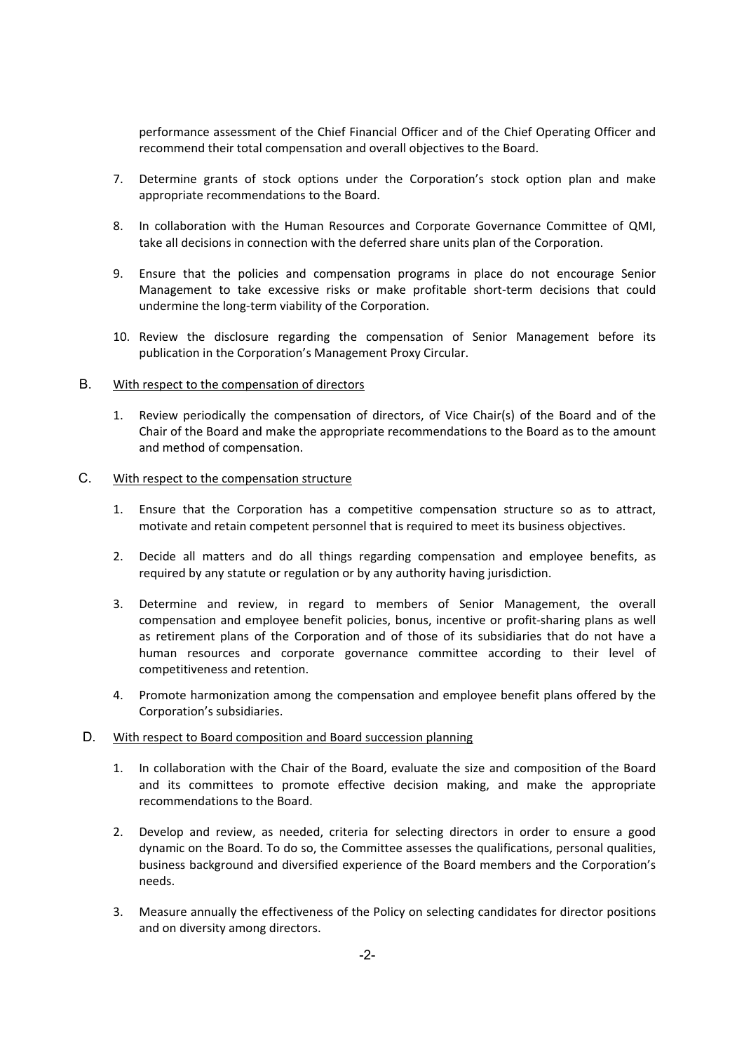performance assessment of the Chief Financial Officer and of the Chief Operating Officer and recommend their total compensation and overall objectives to the Board.

- 7. Determine grants of stock options under the Corporation's stock option plan and make appropriate recommendations to the Board.
- 8. In collaboration with the Human Resources and Corporate Governance Committee of QMI, take all decisions in connection with the deferred share units plan of the Corporation.
- 9. Ensure that the policies and compensation programs in place do not encourage Senior Management to take excessive risks or make profitable short‐term decisions that could undermine the long‐term viability of the Corporation.
- 10. Review the disclosure regarding the compensation of Senior Management before its publication in the Corporation's Management Proxy Circular.

### B. With respect to the compensation of directors

1. Review periodically the compensation of directors, of Vice Chair(s) of the Board and of the Chair of the Board and make the appropriate recommendations to the Board as to the amount and method of compensation.

## C. With respect to the compensation structure

- 1. Ensure that the Corporation has a competitive compensation structure so as to attract, motivate and retain competent personnel that is required to meet its business objectives.
- 2. Decide all matters and do all things regarding compensation and employee benefits, as required by any statute or regulation or by any authority having jurisdiction.
- 3. Determine and review, in regard to members of Senior Management, the overall compensation and employee benefit policies, bonus, incentive or profit‐sharing plans as well as retirement plans of the Corporation and of those of its subsidiaries that do not have a human resources and corporate governance committee according to their level of competitiveness and retention.
- 4. Promote harmonization among the compensation and employee benefit plans offered by the Corporation's subsidiaries.

#### D. With respect to Board composition and Board succession planning

- 1. In collaboration with the Chair of the Board, evaluate the size and composition of the Board and its committees to promote effective decision making, and make the appropriate recommendations to the Board.
- 2. Develop and review, as needed, criteria for selecting directors in order to ensure a good dynamic on the Board. To do so, the Committee assesses the qualifications, personal qualities, business background and diversified experience of the Board members and the Corporation's needs.
- 3. Measure annually the effectiveness of the Policy on selecting candidates for director positions and on diversity among directors.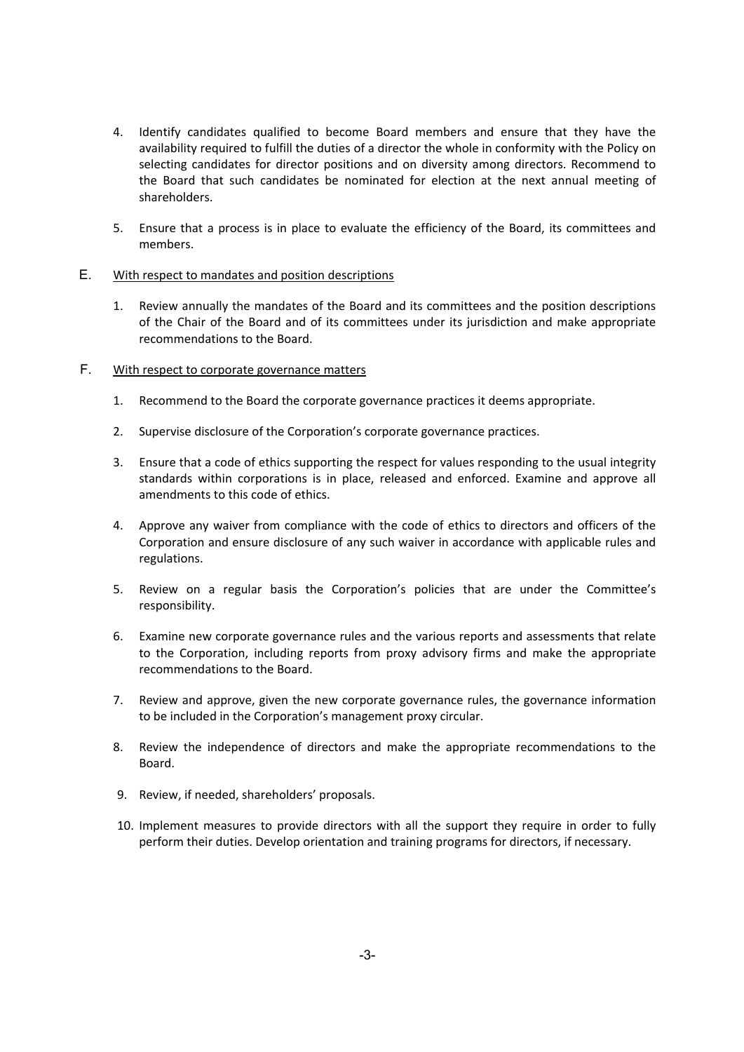- 4. Identify candidates qualified to become Board members and ensure that they have the availability required to fulfill the duties of a director the whole in conformity with the Policy on selecting candidates for director positions and on diversity among directors. Recommend to the Board that such candidates be nominated for election at the next annual meeting of shareholders.
- 5. Ensure that a process is in place to evaluate the efficiency of the Board, its committees and members.

## E. With respect to mandates and position descriptions

1. Review annually the mandates of the Board and its committees and the position descriptions of the Chair of the Board and of its committees under its jurisdiction and make appropriate recommendations to the Board.

## F. With respect to corporate governance matters

- 1. Recommend to the Board the corporate governance practices it deems appropriate.
- 2. Supervise disclosure of the Corporation's corporate governance practices.
- 3. Ensure that a code of ethics supporting the respect for values responding to the usual integrity standards within corporations is in place, released and enforced. Examine and approve all amendments to this code of ethics.
- 4. Approve any waiver from compliance with the code of ethics to directors and officers of the Corporation and ensure disclosure of any such waiver in accordance with applicable rules and regulations.
- 5. Review on a regular basis the Corporation's policies that are under the Committee's responsibility.
- 6. Examine new corporate governance rules and the various reports and assessments that relate to the Corporation, including reports from proxy advisory firms and make the appropriate recommendations to the Board.
- 7. Review and approve, given the new corporate governance rules, the governance information to be included in the Corporation's management proxy circular.
- 8. Review the independence of directors and make the appropriate recommendations to the Board.
- 9. Review, if needed, shareholders' proposals.
- 10. Implement measures to provide directors with all the support they require in order to fully perform their duties. Develop orientation and training programs for directors, if necessary.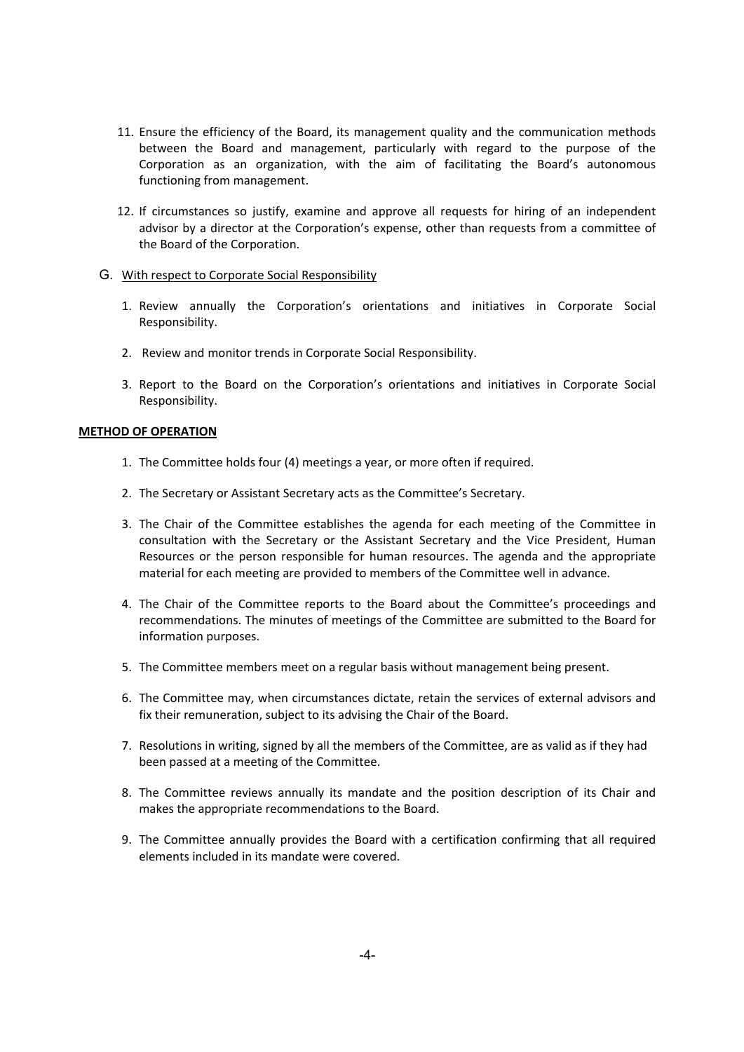- 11. Ensure the efficiency of the Board, its management quality and the communication methods between the Board and management, particularly with regard to the purpose of the Corporation as an organization, with the aim of facilitating the Board's autonomous functioning from management.
- 12. If circumstances so justify, examine and approve all requests for hiring of an independent advisor by a director at the Corporation's expense, other than requests from a committee of the Board of the Corporation.
- G. With respect to Corporate Social Responsibility
	- 1. Review annually the Corporation's orientations and initiatives in Corporate Social Responsibility.
	- 2. Review and monitor trends in Corporate Social Responsibility.
	- 3. Report to the Board on the Corporation's orientations and initiatives in Corporate Social Responsibility.

#### **METHOD OF OPERATION**

- 1. The Committee holds four (4) meetings a year, or more often if required.
- 2. The Secretary or Assistant Secretary acts as the Committee's Secretary.
- 3. The Chair of the Committee establishes the agenda for each meeting of the Committee in consultation with the Secretary or the Assistant Secretary and the Vice President, Human Resources or the person responsible for human resources. The agenda and the appropriate material for each meeting are provided to members of the Committee well in advance.
- 4. The Chair of the Committee reports to the Board about the Committee's proceedings and recommendations. The minutes of meetings of the Committee are submitted to the Board for information purposes.
- 5. The Committee members meet on a regular basis without management being present.
- 6. The Committee may, when circumstances dictate, retain the services of external advisors and fix their remuneration, subject to its advising the Chair of the Board.
- 7. Resolutions in writing, signed by all the members of the Committee, are as valid as if they had been passed at a meeting of the Committee.
- 8. The Committee reviews annually its mandate and the position description of its Chair and makes the appropriate recommendations to the Board.
- 9. The Committee annually provides the Board with a certification confirming that all required elements included in its mandate were covered.